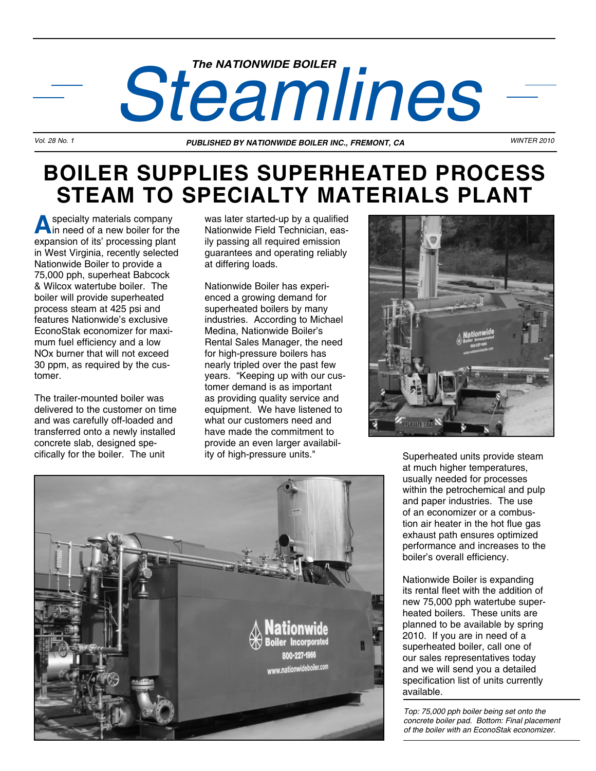# *SteamInite BOILER*

*Vol. 28 No. 1 PUBLISHED BY NATIONWIDE BOILER INC., FREMONT, CA WINTER 2010*

## **BOILER SUPPLIES SUPERHEATED PROCESS STEAM TO SPECIALTY MATERIALS PLANT**

**A** specialty materials company<br>in need of a new boiler for the expansion of its' processing plant in West Virginia, recently selected Nationwide Boiler to provide a 75,000 pph, superheat Babcock & Wilcox watertube boiler. The boiler will provide superheated process steam at 425 psi and features Nationwide's exclusive EconoStak economizer for maximum fuel efficiency and a low NOx burner that will not exceed 30 ppm, as required by the customer.

The trailer-mounted boiler was delivered to the customer on time and was carefully off-loaded and transferred onto a newly installed concrete slab, designed specifically for the boiler. The unit

was later started-up by a qualified Nationwide Field Technician, easily passing all required emission guarantees and operating reliably at differing loads.

Nationwide Boiler has experienced a growing demand for superheated boilers by many industries. According to Michael Medina, Nationwide Boiler's Rental Sales Manager, the need for high-pressure boilers has nearly tripled over the past few years. "Keeping up with our customer demand is as important as providing quality service and equipment. We have listened to what our customers need and have made the commitment to provide an even larger availability of high-pressure units." Superheated units provide steam





at much higher temperatures. usually needed for processes within the petrochemical and pulp and paper industries. The use of an economizer or a combustion air heater in the hot flue gas exhaust path ensures optimized performance and increases to the boiler's overall efficiency.

Nationwide Boiler is expanding its rental fleet with the addition of new 75,000 pph watertube superheated boilers. These units are planned to be available by spring 2010. If you are in need of a superheated boiler, call one of our sales representatives today and we will send you a detailed specification list of units currently available.

*Top: 75,000 pph boiler being set onto the concrete boiler pad. Bottom: Final placement of the boiler with an EconoStak economizer.*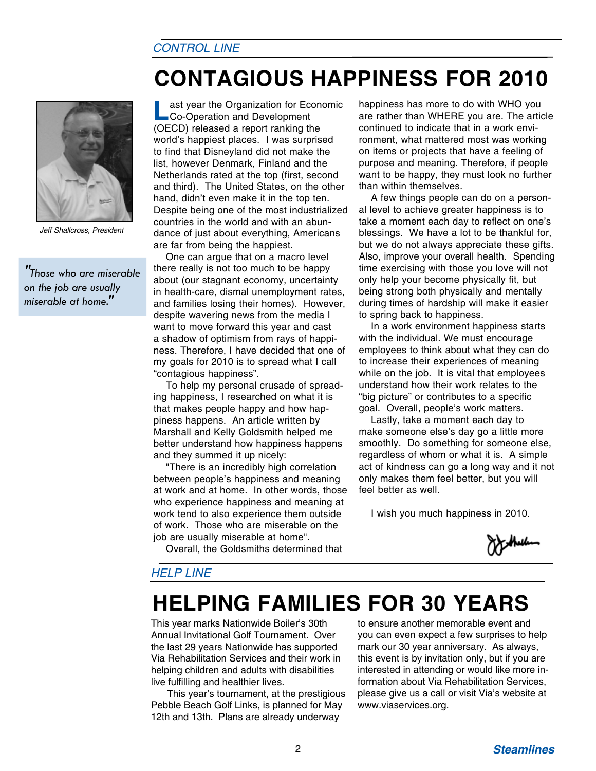### *CONTROL LINE*

## **CONTAGIOUS HAPPINESS FOR 2010**



*Jeff Shallcross, President*

*"Those who are miserable on the job are usually miserable at home."*

**Last year the Organization for Economic**<br>
Co-Operation and Development<br>
(CEOD) released a grant realist the (OECD) released a report ranking the world's happiest places. I was surprised to find that Disneyland did not make the list, however Denmark, Finland and the Netherlands rated at the top (first, second and third). The United States, on the other hand, didn't even make it in the top ten. Despite being one of the most industrialized countries in the world and with an abundance of just about everything, Americans are far from being the happiest.

 One can argue that on a macro level there really is not too much to be happy about (our stagnant economy, uncertainty in health-care, dismal unemployment rates, and families losing their homes). However, despite wavering news from the media I want to move forward this year and cast a shadow of optimism from rays of happiness. Therefore, I have decided that one of my goals for 2010 is to spread what I call "contagious happiness".

 To help my personal crusade of spreading happiness, I researched on what it is that makes people happy and how happiness happens. An article written by Marshall and Kelly Goldsmith helped me better understand how happiness happens and they summed it up nicely:

 "There is an incredibly high correlation between people's happiness and meaning at work and at home. In other words, those who experience happiness and meaning at work tend to also experience them outside of work. Those who are miserable on the job are usually miserable at home".

Overall, the Goldsmiths determined that

happiness has more to do with WHO you are rather than WHERE you are. The article continued to indicate that in a work environment, what mattered most was working on items or projects that have a feeling of purpose and meaning. Therefore, if people want to be happy, they must look no further than within themselves.

 A few things people can do on a personal level to achieve greater happiness is to take a moment each day to reflect on one's blessings. We have a lot to be thankful for, but we do not always appreciate these gifts. Also, improve your overall health. Spending time exercising with those you love will not only help your become physically fit, but being strong both physically and mentally during times of hardship will make it easier to spring back to happiness.

 In a work environment happiness starts with the individual. We must encourage employees to think about what they can do to increase their experiences of meaning while on the job. It is vital that employees understand how their work relates to the "big picture" or contributes to a specific goal. Overall, people's work matters.

 Lastly, take a moment each day to make someone else's day go a little more smoothly. Do something for someone else, regardless of whom or what it is. A simple act of kindness can go a long way and it not only makes them feel better, but you will feel better as well.

I wish you much happiness in 2010.



#### *HELP LINE*

## **HELPING FAMILIES FOR 30 YEARS**

This year marks Nationwide Boiler's 30th Annual Invitational Golf Tournament. Over the last 29 years Nationwide has supported Via Rehabilitation Services and their work in helping children and adults with disabilities live fulfilling and healthier lives.

 This year's tournament, at the prestigious Pebble Beach Golf Links, is planned for May 12th and 13th. Plans are already underway

to ensure another memorable event and you can even expect a few surprises to help mark our 30 year anniversary. As always, this event is by invitation only, but if you are interested in attending or would like more information about Via Rehabilitation Services, please give us a call or visit Via's website at www.viaservices.org.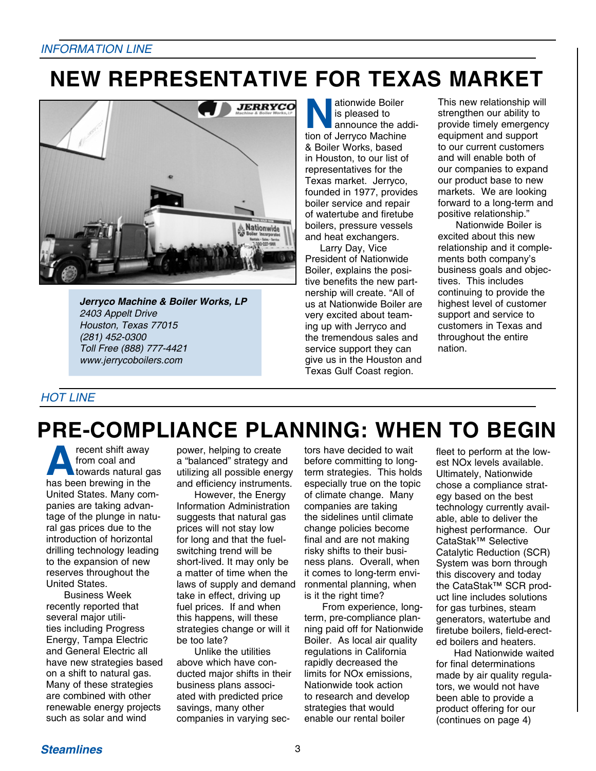## **NEW REPRESENTATIVE FOR TEXAS MARKET**



*Jerryco Machine & Boiler Works, LP 2403 Appelt Drive Houston, Texas 77015 (281) 452-0300 Toll Free (888) 777-4421 www.jerrycoboilers.com*

**NACCOLLET IS pleased to<br>
is pleased to<br>
tion of Jerryco Machine** is pleased to announce the addi-& Boiler Works, based in Houston, to our list of representatives for the Texas market. Jerryco, founded in 1977, provides boiler service and repair of watertube and firetube boilers, pressure vessels and heat exchangers.

 Larry Day, Vice President of Nationwide Boiler, explains the positive benefits the new partnership will create. "All of us at Nationwide Boiler are very excited about teaming up with Jerryco and the tremendous sales and service support they can give us in the Houston and Texas Gulf Coast region.

This new relationship will strengthen our ability to provide timely emergency equipment and support to our current customers and will enable both of our companies to expand our product base to new markets. We are looking forward to a long-term and positive relationship."

 Nationwide Boiler is excited about this new relationship and it complements both company's business goals and objectives. This includes continuing to provide the highest level of customer support and service to customers in Texas and throughout the entire nation.

## *HOT LINE*

# **PRE-COMPLIANCE PLANNING: WHEN TO BEGIN**

**A**recent shift away<br>
from coal and<br>
towards natural ga<br>
has been brewing in the from coal and towards natural gas United States. Many companies are taking advantage of the plunge in natural gas prices due to the introduction of horizontal drilling technology leading to the expansion of new reserves throughout the United States.

 Business Week recently reported that several major utilities including Progress Energy, Tampa Electric and General Electric all have new strategies based on a shift to natural gas. Many of these strategies are combined with other renewable energy projects such as solar and wind

power, helping to create a "balanced" strategy and utilizing all possible energy and efficiency instruments.

 However, the Energy Information Administration suggests that natural gas prices will not stay low for long and that the fuelswitching trend will be short-lived. It may only be a matter of time when the laws of supply and demand take in effect, driving up fuel prices. If and when this happens, will these strategies change or will it be too late?

 Unlike the utilities above which have conducted major shifts in their business plans associated with predicted price savings, many other companies in varying sec-

tors have decided to wait before committing to longterm strategies. This holds especially true on the topic of climate change. Many companies are taking the sidelines until climate change policies become final and are not making risky shifts to their business plans. Overall, when it comes to long-term environmental planning, when is it the right time?

 From experience, longterm, pre-compliance planning paid off for Nationwide Boiler. As local air quality regulations in California rapidly decreased the limits for NOx emissions, Nationwide took action to research and develop strategies that would enable our rental boiler

fleet to perform at the lowest NOx levels available. Ultimately, Nationwide chose a compliance strategy based on the best technology currently available, able to deliver the highest performance. Our CataStak™ Selective Catalytic Reduction (SCR) System was born through this discovery and today the CataStak™ SCR product line includes solutions for gas turbines, steam generators, watertube and firetube boilers, field-erected boilers and heaters.

 Had Nationwide waited for final determinations made by air quality regulators, we would not have been able to provide a product offering for our (continues on page 4)